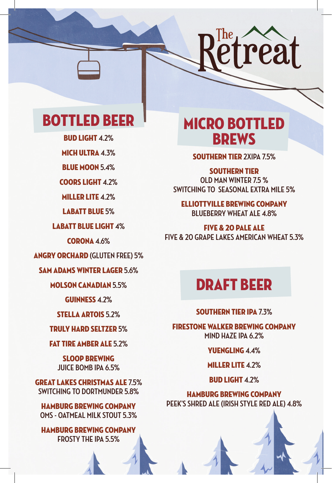

## BOTTLED BEER

BUD LIGHT **4.2%**

MICH ULTRA **4.3%**

BLUE MOON **5.4%**

COORS LIGHT **4.2%**

MILLER LITE **4.2%**

LABATT BLUE **5%**

LABATT BLUE LIGHT **4%**

CORONA **4.6%**

ANGRY ORCHARD **(GLUTEN FREE) 5%**

SAM ADAMS WINTER LAGER **5.6%**

MOLSON CANADIAN **5.5%**

GUINNESS **4.2%**

STELLA ARTOIS **5.2%**

TRULY HARD SELTZER **5%**

#### FAT TIRE AMBER ALE **5.2%**

SLOOP BREWING **JUICE BOMB IPA 6.5%**

GREAT LAKES CHRISTMAS ALE **7.5% SWITCHING TO DORTMUNDER 5.8%**

HAMBURG BREWING COMPANY **OMS - OATMEAL MILK STOUT 5.3%**

HAMBURG BREWING COMPANY **FROSTY THE IPA 5.5%**

## MICRO BOTTLED BREWS

SOUTHERN TIER **2XIPA 7.5%**

SOUTHERN TIER

**OLD MAN WINTER 7.5 % SWITCHING TO SEASONAL EXTRA MILE 5%**

ELLIOTTVILLE BREWING COMPANY **BLUEBERRY WHEAT ALE 4.8%**

FIVE & 20 PALE ALE **FIVE & 20 GRAPE LAKES AMERICAN WHEAT 5.3%**

### DRAFT BEER

#### SOUTHERN TIER IPA **7.3%**

FIRESTONE WALKER BREWING COMPANY **MIND HAZE IPA 6.2%**

YUENGLING **4.4%**

MILLER LITE **4.2%**

BUD LIGHT **4.2%**

HAMBURG BREWING COMPANY **PEEK'S SHRED ALE (IRISH STYLE RED ALE) 4.8%**